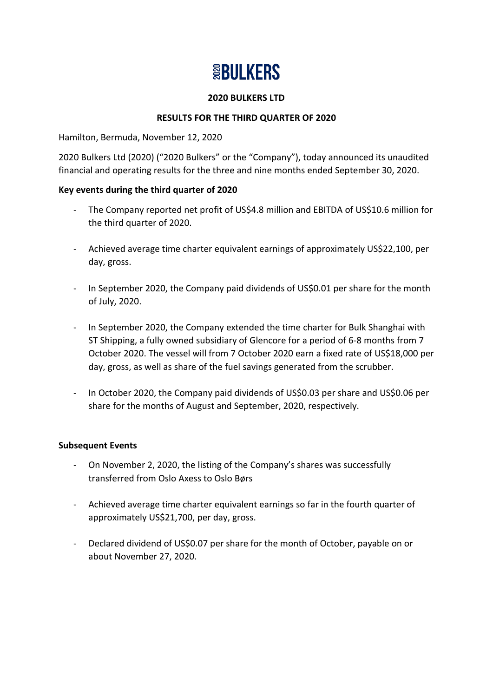# **SBULKERS**

### **2020 BULKERS LTD**

## **RESULTS FOR THE THIRD QUARTER OF 2020**

Hamilton, Bermuda, November 12, 2020

2020 Bulkers Ltd (2020) ("2020 Bulkers" or the "Company"), today announced its unaudited financial and operating results for the three and nine months ended September 30, 2020.

#### **Key events during the third quarter of 2020**

- The Company reported net profit of US\$4.8 million and EBITDA of US\$10.6 million for the third quarter of 2020.
- Achieved average time charter equivalent earnings of approximately US\$22,100, per day, gross.
- In September 2020, the Company paid dividends of US\$0.01 per share for the month of July, 2020.
- In September 2020, the Company extended the time charter for Bulk Shanghai with ST Shipping, a fully owned subsidiary of Glencore for a period of 6-8 months from 7 October 2020. The vessel will from 7 October 2020 earn a fixed rate of US\$18,000 per day, gross, as well as share of the fuel savings generated from the scrubber.
- In October 2020, the Company paid dividends of US\$0.03 per share and US\$0.06 per share for the months of August and September, 2020, respectively.

## **Subsequent Events**

- On November 2, 2020, the listing of the Company's shares was successfully transferred from Oslo Axess to Oslo Børs
- Achieved average time charter equivalent earnings so far in the fourth quarter of approximately US\$21,700, per day, gross.
- Declared dividend of US\$0.07 per share for the month of October, payable on or about November 27, 2020.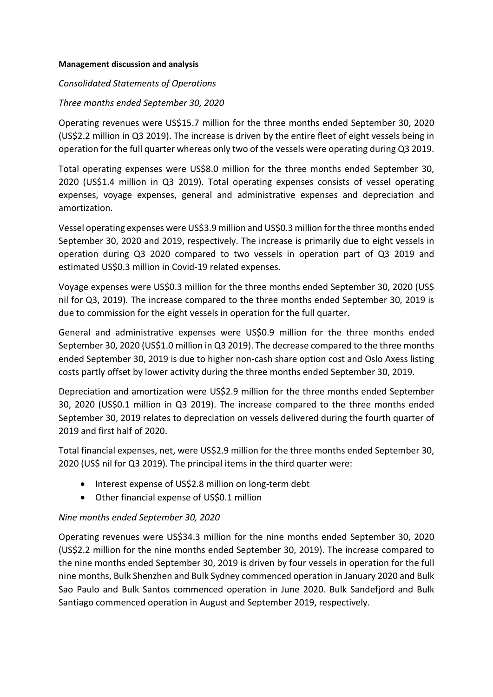#### **Management discussion and analysis**

#### *Consolidated Statements of Operations*

#### *Three months ended September 30, 2020*

Operating revenues were US\$15.7 million for the three months ended September 30, 2020 (US\$2.2 million in Q3 2019). The increase is driven by the entire fleet of eight vessels being in operation for the full quarter whereas only two of the vessels were operating during Q3 2019.

Total operating expenses were US\$8.0 million for the three months ended September 30, 2020 (US\$1.4 million in Q3 2019). Total operating expenses consists of vessel operating expenses, voyage expenses, general and administrative expenses and depreciation and amortization.

Vessel operating expenses were US\$3.9 million and US\$0.3 million for the three months ended September 30, 2020 and 2019, respectively. The increase is primarily due to eight vessels in operation during Q3 2020 compared to two vessels in operation part of Q3 2019 and estimated US\$0.3 million in Covid-19 related expenses.

Voyage expenses were US\$0.3 million for the three months ended September 30, 2020 (US\$ nil for Q3, 2019). The increase compared to the three months ended September 30, 2019 is due to commission for the eight vessels in operation for the full quarter.

General and administrative expenses were US\$0.9 million for the three months ended September 30, 2020 (US\$1.0 million in Q3 2019). The decrease compared to the three months ended September 30, 2019 is due to higher non-cash share option cost and Oslo Axess listing costs partly offset by lower activity during the three months ended September 30, 2019.

Depreciation and amortization were US\$2.9 million for the three months ended September 30, 2020 (US\$0.1 million in Q3 2019). The increase compared to the three months ended September 30, 2019 relates to depreciation on vessels delivered during the fourth quarter of 2019 and first half of 2020.

Total financial expenses, net, were US\$2.9 million for the three months ended September 30, 2020 (US\$ nil for Q3 2019). The principal items in the third quarter were:

- Interest expense of US\$2.8 million on long-term debt
- Other financial expense of US\$0.1 million

## *Nine months ended September 30, 2020*

Operating revenues were US\$34.3 million for the nine months ended September 30, 2020 (US\$2.2 million for the nine months ended September 30, 2019). The increase compared to the nine months ended September 30, 2019 is driven by four vessels in operation for the full nine months, Bulk Shenzhen and Bulk Sydney commenced operation in January 2020 and Bulk Sao Paulo and Bulk Santos commenced operation in June 2020. Bulk Sandefjord and Bulk Santiago commenced operation in August and September 2019, respectively.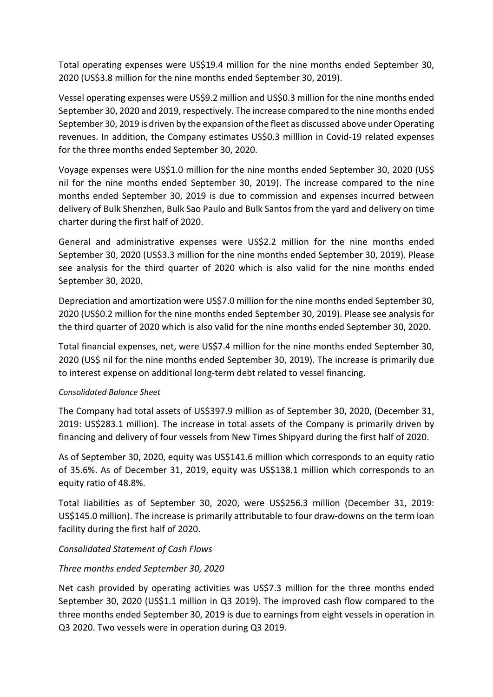Total operating expenses were US\$19.4 million for the nine months ended September 30, 2020 (US\$3.8 million for the nine months ended September 30, 2019).

Vessel operating expenses were US\$9.2 million and US\$0.3 million for the nine months ended September 30, 2020 and 2019, respectively. The increase compared to the nine months ended September 30, 2019 is driven by the expansion of the fleet as discussed above under Operating revenues. In addition, the Company estimates US\$0.3 milllion in Covid-19 related expenses for the three months ended September 30, 2020.

Voyage expenses were US\$1.0 million for the nine months ended September 30, 2020 (US\$ nil for the nine months ended September 30, 2019). The increase compared to the nine months ended September 30, 2019 is due to commission and expenses incurred between delivery of Bulk Shenzhen, Bulk Sao Paulo and Bulk Santos from the yard and delivery on time charter during the first half of 2020.

General and administrative expenses were US\$2.2 million for the nine months ended September 30, 2020 (US\$3.3 million for the nine months ended September 30, 2019). Please see analysis for the third quarter of 2020 which is also valid for the nine months ended September 30, 2020.

Depreciation and amortization were US\$7.0 million for the nine months ended September 30, 2020 (US\$0.2 million for the nine months ended September 30, 2019). Please see analysis for the third quarter of 2020 which is also valid for the nine months ended September 30, 2020.

Total financial expenses, net, were US\$7.4 million for the nine months ended September 30, 2020 (US\$ nil for the nine months ended September 30, 2019). The increase is primarily due to interest expense on additional long-term debt related to vessel financing.

## *Consolidated Balance Sheet*

The Company had total assets of US\$397.9 million as of September 30, 2020, (December 31, 2019: US\$283.1 million). The increase in total assets of the Company is primarily driven by financing and delivery of four vessels from New Times Shipyard during the first half of 2020.

As of September 30, 2020, equity was US\$141.6 million which corresponds to an equity ratio of 35.6%. As of December 31, 2019, equity was US\$138.1 million which corresponds to an equity ratio of 48.8%.

Total liabilities as of September 30, 2020, were US\$256.3 million (December 31, 2019: US\$145.0 million). The increase is primarily attributable to four draw-downs on the term loan facility during the first half of 2020.

## *Consolidated Statement of Cash Flows*

## *Three months ended September 30, 2020*

Net cash provided by operating activities was US\$7.3 million for the three months ended September 30, 2020 (US\$1.1 million in Q3 2019). The improved cash flow compared to the three months ended September 30, 2019 is due to earnings from eight vessels in operation in Q3 2020. Two vessels were in operation during Q3 2019.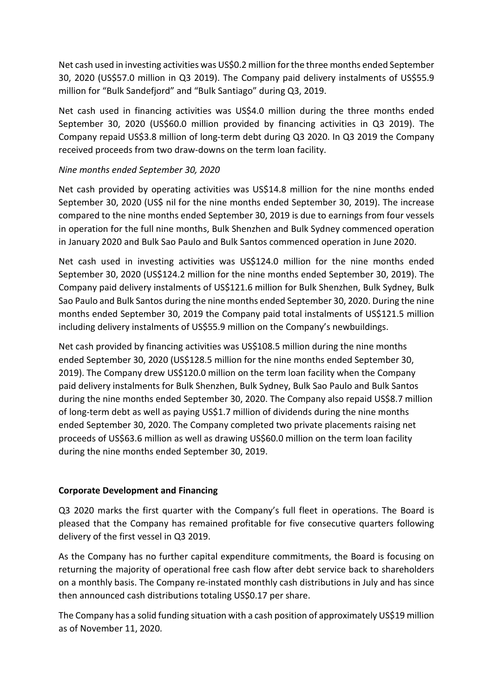Net cash used in investing activities was US\$0.2 million for the three months ended September 30, 2020 (US\$57.0 million in Q3 2019). The Company paid delivery instalments of US\$55.9 million for "Bulk Sandefjord" and "Bulk Santiago" during Q3, 2019.

Net cash used in financing activities was US\$4.0 million during the three months ended September 30, 2020 (US\$60.0 million provided by financing activities in Q3 2019). The Company repaid US\$3.8 million of long-term debt during Q3 2020. In Q3 2019 the Company received proceeds from two draw-downs on the term loan facility.

## *Nine months ended September 30, 2020*

Net cash provided by operating activities was US\$14.8 million for the nine months ended September 30, 2020 (US\$ nil for the nine months ended September 30, 2019). The increase compared to the nine months ended September 30, 2019 is due to earnings from four vessels in operation for the full nine months, Bulk Shenzhen and Bulk Sydney commenced operation in January 2020 and Bulk Sao Paulo and Bulk Santos commenced operation in June 2020.

Net cash used in investing activities was US\$124.0 million for the nine months ended September 30, 2020 (US\$124.2 million for the nine months ended September 30, 2019). The Company paid delivery instalments of US\$121.6 million for Bulk Shenzhen, Bulk Sydney, Bulk Sao Paulo and Bulk Santos during the nine months ended September 30, 2020. During the nine months ended September 30, 2019 the Company paid total instalments of US\$121.5 million including delivery instalments of US\$55.9 million on the Company's newbuildings.

Net cash provided by financing activities was US\$108.5 million during the nine months ended September 30, 2020 (US\$128.5 million for the nine months ended September 30, 2019). The Company drew US\$120.0 million on the term loan facility when the Company paid delivery instalments for Bulk Shenzhen, Bulk Sydney, Bulk Sao Paulo and Bulk Santos during the nine months ended September 30, 2020. The Company also repaid US\$8.7 million of long-term debt as well as paying US\$1.7 million of dividends during the nine months ended September 30, 2020. The Company completed two private placements raising net proceeds of US\$63.6 million as well as drawing US\$60.0 million on the term loan facility during the nine months ended September 30, 2019.

## **Corporate Development and Financing**

Q3 2020 marks the first quarter with the Company's full fleet in operations. The Board is pleased that the Company has remained profitable for five consecutive quarters following delivery of the first vessel in Q3 2019.

As the Company has no further capital expenditure commitments, the Board is focusing on returning the majority of operational free cash flow after debt service back to shareholders on a monthly basis. The Company re-instated monthly cash distributions in July and has since then announced cash distributions totaling US\$0.17 per share.

The Company has a solid funding situation with a cash position of approximately US\$19 million as of November 11, 2020.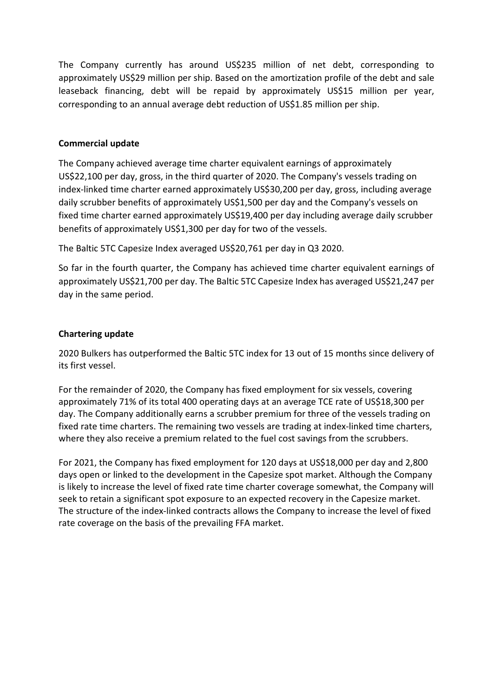The Company currently has around US\$235 million of net debt, corresponding to approximately US\$29 million per ship. Based on the amortization profile of the debt and sale leaseback financing, debt will be repaid by approximately US\$15 million per year, corresponding to an annual average debt reduction of US\$1.85 million per ship.

### **Commercial update**

The Company achieved average time charter equivalent earnings of approximately US\$22,100 per day, gross, in the third quarter of 2020. The Company's vessels trading on index-linked time charter earned approximately US\$30,200 per day, gross, including average daily scrubber benefits of approximately US\$1,500 per day and the Company's vessels on fixed time charter earned approximately US\$19,400 per day including average daily scrubber benefits of approximately US\$1,300 per day for two of the vessels.

The Baltic 5TC Capesize Index averaged US\$20,761 per day in Q3 2020.

So far in the fourth quarter, the Company has achieved time charter equivalent earnings of approximately US\$21,700 per day. The Baltic 5TC Capesize Index has averaged US\$21,247 per day in the same period.

#### **Chartering update**

2020 Bulkers has outperformed the Baltic 5TC index for 13 out of 15 months since delivery of its first vessel.

For the remainder of 2020, the Company has fixed employment for six vessels, covering approximately 71% of its total 400 operating days at an average TCE rate of US\$18,300 per day. The Company additionally earns a scrubber premium for three of the vessels trading on fixed rate time charters. The remaining two vessels are trading at index-linked time charters, where they also receive a premium related to the fuel cost savings from the scrubbers.

For 2021, the Company has fixed employment for 120 days at US\$18,000 per day and 2,800 days open or linked to the development in the Capesize spot market. Although the Company is likely to increase the level of fixed rate time charter coverage somewhat, the Company will seek to retain a significant spot exposure to an expected recovery in the Capesize market. The structure of the index-linked contracts allows the Company to increase the level of fixed rate coverage on the basis of the prevailing FFA market.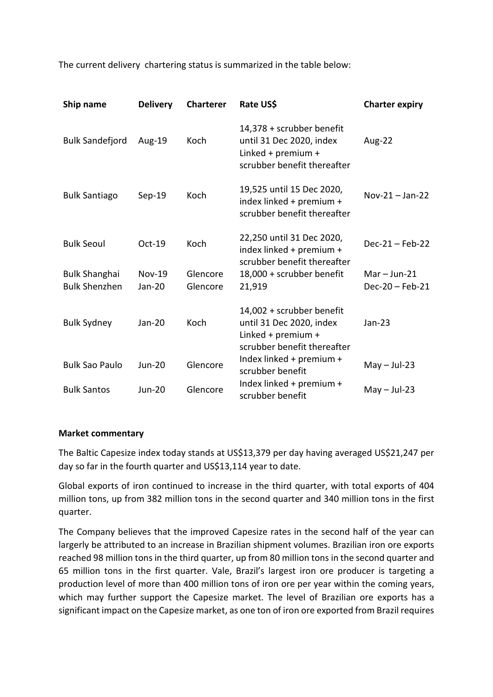The current delivery chartering status is summarized in the table below:

| Ship name                                    | <b>Delivery</b>         | <b>Charterer</b>     | Rate US\$                                                                                                  | <b>Charter expiry</b>               |
|----------------------------------------------|-------------------------|----------------------|------------------------------------------------------------------------------------------------------------|-------------------------------------|
| <b>Bulk Sandefjord</b>                       | Aug-19                  | Koch                 | 14,378 + scrubber benefit<br>until 31 Dec 2020, index<br>Linked + premium +<br>scrubber benefit thereafter | Aug-22                              |
| <b>Bulk Santiago</b>                         | Sep-19                  | Koch                 | 19,525 until 15 Dec 2020,<br>index linked + premium +<br>scrubber benefit thereafter                       | $Nov-21 - Jan-22$                   |
| <b>Bulk Seoul</b>                            | Oct-19                  | Koch                 | 22,250 until 31 Dec 2020,<br>index linked + premium +<br>scrubber benefit thereafter                       | $Dec-21 - Feb-22$                   |
| <b>Bulk Shanghai</b><br><b>Bulk Shenzhen</b> | <b>Nov-19</b><br>Jan-20 | Glencore<br>Glencore | 18,000 + scrubber benefit<br>21,919                                                                        | $Mar - Jun-21$<br>$Dec-20 - Feb-21$ |
| <b>Bulk Sydney</b>                           | Jan-20                  | <b>Koch</b>          | 14,002 + scrubber benefit<br>until 31 Dec 2020, index<br>Linked + premium +<br>scrubber benefit thereafter | $Jan-23$                            |
| <b>Bulk Sao Paulo</b>                        | <b>Jun-20</b>           | Glencore             | Index linked + premium +<br>scrubber benefit                                                               | $May - Jul-23$                      |
| <b>Bulk Santos</b>                           | <b>Jun-20</b>           | Glencore             | Index linked + premium +<br>scrubber benefit                                                               | $May - Jul-23$                      |

#### **Market commentary**

The Baltic Capesize index today stands at US\$13,379 per day having averaged US\$21,247 per day so far in the fourth quarter and US\$13,114 year to date.

Global exports of iron continued to increase in the third quarter, with total exports of 404 million tons, up from 382 million tons in the second quarter and 340 million tons in the first quarter.

The Company believes that the improved Capesize rates in the second half of the year can largerly be attributed to an increase in Brazilian shipment volumes. Brazilian iron ore exports reached 98 million tons in the third quarter, up from 80 million tons in the second quarter and 65 million tons in the first quarter. Vale, Brazil's largest iron ore producer is targeting a production level of more than 400 million tons of iron ore per year within the coming years, which may further support the Capesize market. The level of Brazilian ore exports has a significant impact on the Capesize market, as one ton of iron ore exported from Brazil requires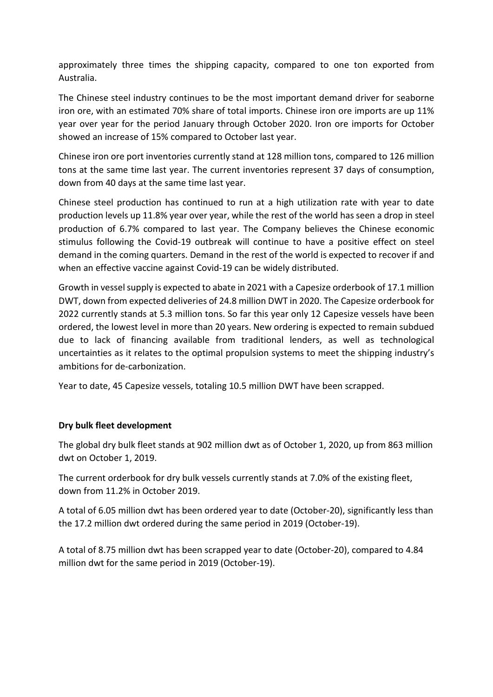approximately three times the shipping capacity, compared to one ton exported from Australia.

The Chinese steel industry continues to be the most important demand driver for seaborne iron ore, with an estimated 70% share of total imports. Chinese iron ore imports are up 11% year over year for the period January through October 2020. Iron ore imports for October showed an increase of 15% compared to October last year.

Chinese iron ore port inventories currently stand at 128 million tons, compared to 126 million tons at the same time last year. The current inventories represent 37 days of consumption, down from 40 days at the same time last year.

Chinese steel production has continued to run at a high utilization rate with year to date production levels up 11.8% year over year, while the rest of the world has seen a drop in steel production of 6.7% compared to last year. The Company believes the Chinese economic stimulus following the Covid-19 outbreak will continue to have a positive effect on steel demand in the coming quarters. Demand in the rest of the world is expected to recover if and when an effective vaccine against Covid-19 can be widely distributed.

Growth in vessel supply is expected to abate in 2021 with a Capesize orderbook of 17.1 million DWT, down from expected deliveries of 24.8 million DWT in 2020. The Capesize orderbook for 2022 currently stands at 5.3 million tons. So far this year only 12 Capesize vessels have been ordered, the lowest level in more than 20 years. New ordering is expected to remain subdued due to lack of financing available from traditional lenders, as well as technological uncertainties as it relates to the optimal propulsion systems to meet the shipping industry's ambitions for de-carbonization.

Year to date, 45 Capesize vessels, totaling 10.5 million DWT have been scrapped.

## **Dry bulk fleet development**

The global dry bulk fleet stands at 902 million dwt as of October 1, 2020, up from 863 million dwt on October 1, 2019.

The current orderbook for dry bulk vessels currently stands at 7.0% of the existing fleet, down from 11.2% in October 2019.

A total of 6.05 million dwt has been ordered year to date (October-20), significantly less than the 17.2 million dwt ordered during the same period in 2019 (October-19).

A total of 8.75 million dwt has been scrapped year to date (October-20), compared to 4.84 million dwt for the same period in 2019 (October-19).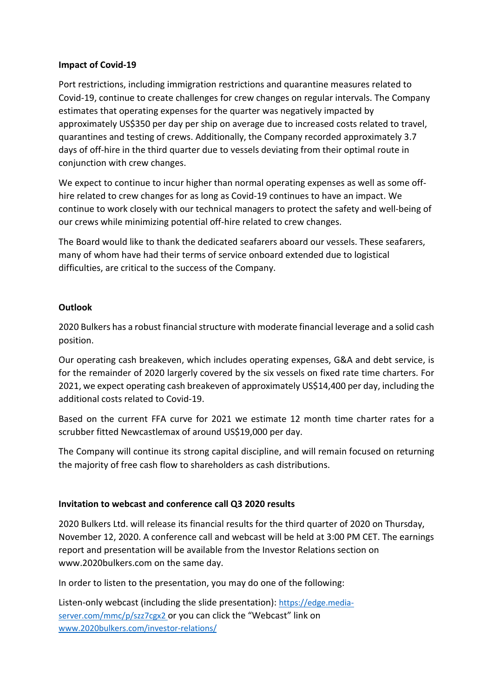#### **Impact of Covid-19**

Port restrictions, including immigration restrictions and quarantine measures related to Covid-19, continue to create challenges for crew changes on regular intervals. The Company estimates that operating expenses for the quarter was negatively impacted by approximately US\$350 per day per ship on average due to increased costs related to travel, quarantines and testing of crews. Additionally, the Company recorded approximately 3.7 days of off-hire in the third quarter due to vessels deviating from their optimal route in conjunction with crew changes.

We expect to continue to incur higher than normal operating expenses as well as some offhire related to crew changes for as long as Covid-19 continues to have an impact. We continue to work closely with our technical managers to protect the safety and well-being of our crews while minimizing potential off-hire related to crew changes.

The Board would like to thank the dedicated seafarers aboard our vessels. These seafarers, many of whom have had their terms of service onboard extended due to logistical difficulties, are critical to the success of the Company.

## **Outlook**

2020 Bulkers has a robust financial structure with moderate financial leverage and a solid cash position.

Our operating cash breakeven, which includes operating expenses, G&A and debt service, is for the remainder of 2020 largerly covered by the six vessels on fixed rate time charters. For 2021, we expect operating cash breakeven of approximately US\$14,400 per day, including the additional costs related to Covid-19.

Based on the current FFA curve for 2021 we estimate 12 month time charter rates for a scrubber fitted Newcastlemax of around US\$19,000 per day.

The Company will continue its strong capital discipline, and will remain focused on returning the majority of free cash flow to shareholders as cash distributions.

#### **Invitation to webcast and conference call Q3 2020 results**

2020 Bulkers Ltd. will release its financial results for the third quarter of 2020 on Thursday, November 12, 2020. A conference call and webcast will be held at 3:00 PM CET. The earnings report and presentation will be available from the Investor Relations section on www.2020bulkers.com on the same day.

In order to listen to the presentation, you may do one of the following:

Listen-only webcast (including the slide presentation): [https://edge.media](https://edge.media-server.com/mmc/p/szz7cgx2)[server.com/mmc/p/szz7cgx2](https://edge.media-server.com/mmc/p/szz7cgx2) or you can click the "Webcast" link on [www.2020bulkers.com/investor-relations/](http://www.2020bulkers.com/investor-relations/)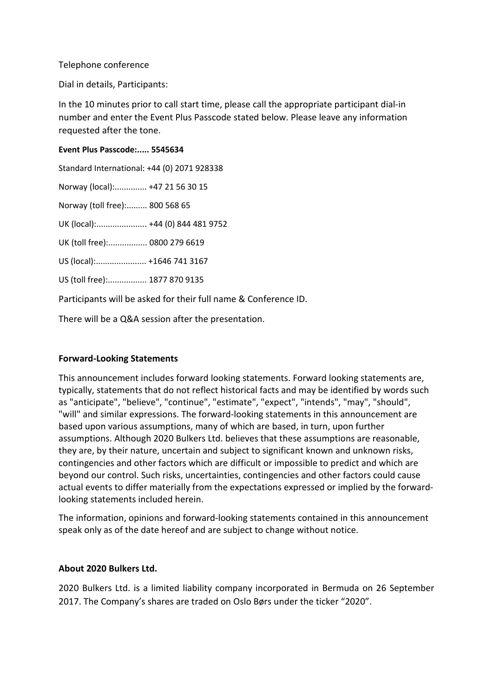#### Telephone conference

Dial in details, Participants:

In the 10 minutes prior to call start time, please call the appropriate participant dial-in number and enter the Event Plus Passcode stated below. Please leave any information requested after the tone.

#### **Event Plus Passcode:..... 5545634**

| Standard International: +44 (0) 2071 928338                     |  |  |  |  |
|-----------------------------------------------------------------|--|--|--|--|
| Norway (local): +47 21 56 30 15                                 |  |  |  |  |
| Norway (toll free): 800 568 65                                  |  |  |  |  |
| UK (local): +44 (0) 844 481 9752                                |  |  |  |  |
| UK (toll free): 0800 279 6619                                   |  |  |  |  |
| US (local): +1646 741 3167                                      |  |  |  |  |
| US (toll free): 1877 870 9135                                   |  |  |  |  |
| Participants will be asked for their full name & Conference ID. |  |  |  |  |

There will be a Q&A session after the presentation.

#### **Forward-Looking Statements**

This announcement includes forward looking statements. Forward looking statements are, typically, statements that do not reflect historical facts and may be identified by words such as "anticipate", "believe", "continue", "estimate", "expect", "intends", "may", "should", "will" and similar expressions. The forward-looking statements in this announcement are based upon various assumptions, many of which are based, in turn, upon further assumptions. Although 2020 Bulkers Ltd. believes that these assumptions are reasonable, they are, by their nature, uncertain and subject to significant known and unknown risks, contingencies and other factors which are difficult or impossible to predict and which are beyond our control. Such risks, uncertainties, contingencies and other factors could cause actual events to differ materially from the expectations expressed or implied by the forwardlooking statements included herein.

The information, opinions and forward-looking statements contained in this announcement speak only as of the date hereof and are subject to change without notice.

#### **About 2020 Bulkers Ltd.**

2020 Bulkers Ltd. is a limited liability company incorporated in Bermuda on 26 September 2017. The Company's shares are traded on Oslo Børs under the ticker "2020".